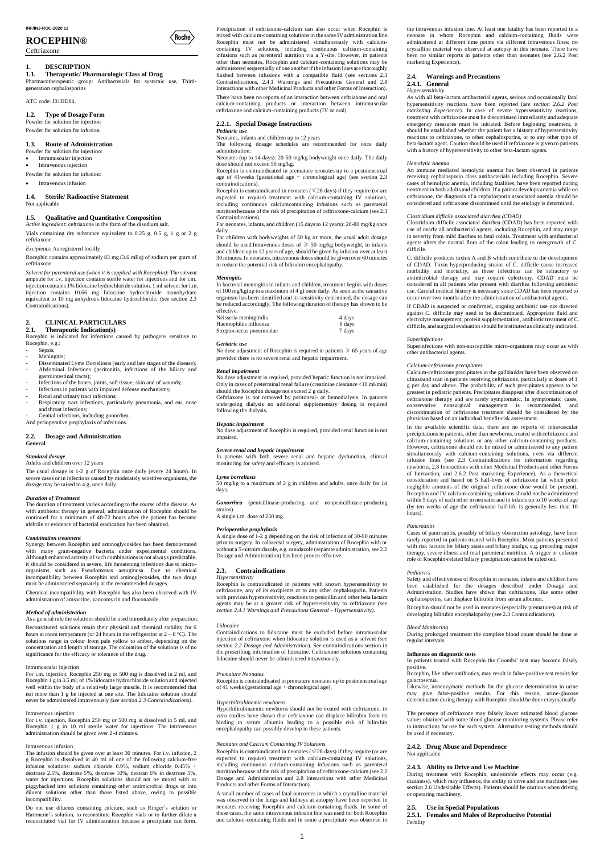# **ROCEPHIN®**

Ceftriaxone

# **1. DESCRIPTION**

# **1.1. Therapeutic/ Pharmacologic Class of Drug**

Pharmacotherapeutic group: Antibacterials for systemic use, Thirdgeneration cephalosporins

 $\langle$ Roche $\rangle$ 

ATC code: J01DD04.

# **1.2. Type of Dosage Form**

Powder for solution for injection Powder for solution for infusion

#### **1.3. Route of Administration**

- Powder for solution for injection:
- Intramuscular injection
- Intravenous injection
- Powder for solution for infusion:

Intravenous infusion

# **1.4. Sterile/ Radioactive Statement**

Not applicable

# **1.5. Qualitative and Quantitative Composition**

*Active ingredient*: ceftriaxone in the form of the disodium salt. Vials containing dry substance equivalent to 0.25 g, 0.5 g, 1 g or 2 g ceftriaxone.

*Excipients*: As registered locally

Rocephin contains approximately 83 mg (3.6 mEq) of sodium per gram of ceftriaxone.

- Sepsis;
- Meningitis;
- Disseminated Lyme Borreliosis (early and late stages of the disease); - Abdominal Infections (peritonitis, infections of the biliary and gastrointestinal tracts);
- Infections of the bones, joints, soft tissue, skin and of wounds;
- Infections in patients with impaired defense mechanisms;
- Renal and urinary tract infections;
- Respiratory tract infections, particularly pneumonia, and ear, nose and throat infections;

Genital infections, including gonorrhea.

*Solvent for parenteral use (when it is supplied with Rocephin)*: The solvent ampoule for i.v. injection contains sterile water for injections and for i.m. injection contains 1% lidocaine hydrochloride solution. 1 ml solvent for i.m. injection contains 10.66 mg lidocaine hydrochloride monohydrate equivalent to 10 mg anhydrous lidocaine hydrochloride. (see section 2.3 Contraindications).

# **2. CLINICAL PARTICULARS**

### **2.1. Therapeutic Indication(s)**

Rocephin is indicated for infections caused by pathogens sensitive to Rocephin, e.g.:

And perioperative prophylaxis of infections.

### **2.2. Dosage and Administration General**

# *Standard dosage*

Adults and children over 12 years

The usual dosage is 1-2 g of Rocephin once daily (every 24 hours). In severe cases or in infections caused by moderately sensitive organisms, the dosage may be raised to 4 g, once daily.

#### *Duration of Treatment*

The duration of treatment varies according to the course of the disease. As with antibiotic therapy in general, administration of Rocephin should be continued for a minimum of 48-72 hours after the patient has become afebrile or evidence of bacterial eradication has been obtained.

#### *Combination treatment*

Synergy between Rocephin and aminoglycosides has been demonstrated with many gram-negative bacteria under experimental conditions. Although enhanced activity of such combinations is not always predictable, it should be considered in severe, life threatening infections due to microorganisms such as Pseudomonas aeruginosa. Due to chemical incompatibility between Rocephin and aminoglycosides, the two drugs must be administered separately at the recommended dosages.

Chemical incompatibility with Rocephin has also been observed with IV administration of amsacrine, vancomycin and fluconazole.

# *Method of administration*

Rocephin is contraindicated in neonates ( $\leq$ 28 days) if they require (or are expected to require) treatment with calcium-containing IV solutions, including continuous calciumcontaining infusions such as parenteral nutrition because of the risk of precipitation of ceftriaxone-calcium (see 2.3 Contraindications).

As a general rule the solutions should be used immediately after preparation. Reconstituted solutions retain their physical and chemical stability for 6 hours at room temperature (or 24 hours in the refrigerator at  $2 - 8$  °C). The solutions range in colour from pale yellow to amber, depending on the

concentration and length of storage. The coloration of the solutions is of no significance for the efficacy or tolerance of the drug.

#### Intramuscular injection

For i.m. injection, Rocephin 250 mg or 500 mg is dissolved in 2 ml, and Rocephin 1 g in 3.5 ml, of 1% lidocaine hydrochloride solution and injected well within the body of a relatively large muscle. It is recommended that not more than 1 g be injected at one site. The lidocaine solution should never be administered intravenously *(see section 2.3 Contraindications)*.

No dose adjustment of Rocephin is required in patients  $\geq 65$  years of age provided there is no severe renal and hepatic impairment*.*

#### Intravenous injection

For i.v. injection, Rocephin 250 mg or 500 mg is dissolved in 5 ml, and Rocephin 1 g in 10 ml sterile water for injections. The intravenous administration should be given over 2-4 minutes.

#### Intravenous infusion

The infusion should be given over at least 30 minutes. For i.v. infusion, 2 g Rocephin is dissolved in 40 ml of one of the following calcium-free infusion solutions: sodium chloride 0.9%, sodium chloride 0.45% + dextrose 2.5%, dextrose 5%, dextrose 10%, dextran 6% in dextrose 5%, water for injections. Rocephin solutions should not be mixed with or piggybacked into solutions containing other antimicrobial drugs or into diluent solutions other than those listed above, owing to possible incompatibility.

Do not use diluents containing calcium, such as Ringer's solution or Hartmann's solution, to reconstitute Rocephin vials or to further dilute a reconstituted vial for IV administration because a precipitate can form.

Rocephin is contraindicated in neonates  $(\leq 28 \text{ days})$  if they require (or are expected to require) treatment with calcium-containing IV solutions, including continuous calcium-containing infusions such as parenteral nutrition because of the risk of precipitation of ceftriaxone-calcium (see 2.2 Dosage and Administration and 2.8 Interactions with other Medicinal Products and other Forms of Interaction).

Precipitation of ceftriaxone-calcium can also occur when Rocephin is mixed with calcium-containing solutions in the same IV administration line. Rocephin must not be administered simultaneously with calciumcontaining IV solutions, including continuous calcium-containing infusions such as parenteral nutrition via a Y-site. However, in patients other than neonates, Rocephin and calcium-containing solutions may be administered sequentially of one another if the infusion lines are thoroughly flushed between infusions with a compatible fluid (see sections 2.3) Contraindications, 2.4.1 Warnings and Precautions General and 2.8 Interactions with other Medicinal Products and other Forms of Interaction).

There have been no reports of an interaction between ceftriaxone and oral calcium-containing products or interaction between intramuscular ceftriaxone and calcium-containing products (IV or oral).

# **2.2.1. Special Dosage Instructions**

*Pediatric use* Neonates, infants and children up to 12 years

The following dosage schedules are recommended for once daily administration:

Neonates (up to 14 days): 20-50 mg/kg bodyweight once daily. The daily dose should not exceed 50 mg/kg.

Rocephin is contraindicated in premature neonates up to a postmenstrual age of 41weeks (gestational age + chronological age) (see section 2.3 contraindications).

For neonates, infants, and children (15 days to 12 years): 20-80 mg/kg once daily.

For children with bodyweights of 50 kg or more, the usual adult dosage should be used.Intravenous doses of  $\geq 50$  mg/kg bodyweight, in infants and children up to 12 years of age, should be given by infusion over at least 30 minutes. In neonates, intravenous doses should be given over 60 minutes to reduce the potential risk of bilirubin encephalopathy.

#### *Meningitis*

In bacterial meningitis in infants and children, treatment begins with doses of 100 mg/kg(up to a maximum of 4 g) once daily. As soon as the causative organism has been identified and its sensitivity determined, the dosage can be reduced accordingly. The following duration of therapy has shown to be effective:

| Neisseria meningitidis   | 4 days |
|--------------------------|--------|
| Haemophilus influenza    | 6 days |
| Streptococcus pneumoniae | 7 days |

## *Geriatric use*

#### *Renal impairment*

No dose adjustment is required, provided hepatic function is not impaired. Only in cases of preterminal renal failure (creatinine clearance <10 ml/min) should the Rocephin dosage not exceed 2 g daily.

Ceftriaxone is not removed by peritoneal- or hemodialysis. In patients undergoing dialysis no additional supplementary dosing is required following the dialysis*.*

#### *Hepatic impairment*

No dose adjustment of Rocephin is required, provided renal function is not impaired.

# *Severe renal and hepatic impairment*

In patients with both severe renal and hepatic dysfunction, clinical monitoring for safety and efficacy is advised.

#### *Lyme borreliosis*

50 mg/kg to a maximum of 2 g in children and adults, once daily for 14 days.

*Gonorrhea* (penicillinase-producing and nonpenicillinase-producing strains)

A single i.m. dose of 250 mg.

#### *Perioperative prophylaxis*

A single dose of 1-2 g depending on the risk of infection of 30-90 minutes prior to surgery. In colorectal surgery, administration of Rocephin with or without a 5-nitroimidazole, e.g. ornidazole (separate administration, see 2.2 Dosage and Administration) has been proven effective.

#### **2.3. Contraindications**

#### *Hypersensitivity*

Rocephin is contraindicated in patients with known hypersensitivity to ceftriaxone, any of its excipients or to any other cephalosporin. Patients with previous hypersensitivity reactions to penicillin and other beta lactam agents may be at a greater risk of hypersensitivity to ceftriaxone (*see section 2.4.1 Warnings and Precautions General – Hypersensitivity).*

#### *Lidocaine*

Contraindications to lidocaine must be excluded before intramuscular injection of ceftriaxone when lidocaine solution is used as a solvent (*see section 2.2 Dosage and Administration*). See contraindications section in the prescribing information of lidocaine. Ceftriaxone solutions containing lidocaine should never be administered intravenously.

### *Premature Neonates*

Rocephin is contraindicated in premature neonates up to postmenstrual age of 41 weeks (gestational age + chronological age).

### *Hyperbilirubinemic newborns*

Hyperbilirubinaemic newborns should not be treated with ceftriaxone. *In vitro* studies have shown that ceftriaxone can displace bilirubin from its binding to serum albumin leading to a possible risk of bilirubin encephalopathy can possibly develop in these patients.

### *Neonates and Calcium Containing IV Solutions*

A small number of cases of fatal outcomes in which a crystalline material was observed in the lungs and kidneys at autopsy have been reported in neonates receiving Rocephin and calcium-containing fluids. In some of these cases, the same intravenous infusion line was used for both Rocephin and calcium-containing fluids and in some a precipitate was observed in the intravenous infusion line. At least one fatality has been reported in a neonate in whom Rocephin and calcium-containing fluids were administered at different time points via different intravenous lines; no crystalline material was observed at autopsy in this neonate. There have been no similar reports in patients other than neonates (see 2.6.2 Post marketing Experience).

# **2.4. Warnings and Precautions 2.4.1. General**

*Hypersensitivity*

As with all beta-lactam antibacterial agents, serious and occasionally fatal hypersensitivity reactions have been reported (*see section 2.6.2 Post marketing Experience*). In case of severe hypersensitivity reactions, treatment with ceftriaxone must be discontinued immediately and adequate emergency measures must be initiated. Before beginning treatment, it should be established whether the patient has a history of hypersensitivity reactions to ceftriaxone, to other cephalosporins, or to any other type of beta-lactam agent. Caution should be used if ceftriaxone is given to patients with a history of hypersensitivity to other beta-lactam agents.

#### *Hemolytic Anemia*

An immune mediated hemolytic anemia has been observed in patients receiving cephalosporin class antibacterials including Rocephin. Severe cases of hemolytic anemia, including fatalities, have been reported during treatment in both adults and children. If a patient develops anemia while on ceftriaxone, the diagnosis of a cephalosporin associated anemia should be considered and ceftriaxone discontinued until the etiology is determined.

#### *Clostridium difficile associated diarrhea (CDAD)*

Clostridium difficile associated diarrhea (CDAD) has been reported with use of nearly all antibacterial agents, including Rocephin, and may range in severity from mild diarrhea to fatal colitis. Treatment with antibacterial agents alters the normal flora of the colon leading to overgrowth of C. difficile.

C. difficile produces toxins A and B which contribute to the development of CDAD. Toxin hyperproducing strains of C. difficile cause increased morbidity and mortality, as these infections can be refractory to antimicrobial therapy and may require colectomy. CDAD must be considered in all patients who present with diarrhea following antibiotic use. Careful medical history is necessary since CDAD has been reported to occur over two months after the administration of antibacterial agents.

If CDAD is suspected or confirmed, ongoing antibiotic use not directed against C. difficile may need to be discontinued. Appropriate fluid and electrolyte management, protein supplementation, antibiotic treatment of C. difficile, and surgical evaluation should be instituted as clinically indicated.

#### *Superinfections*

Superinfections with non-susceptible micro-organisms may occur as with other antibacterial agents.

#### *Calcium-ceftriaxone precipitates*

Calcium-ceftriaxone precipitates in the gallbladder have been observed on ultrasound scan in patients receiving ceftriaxone, particularly at doses of 1 g per day and above. The probability of such precipitates appears to be greatest in pediatric patients. Precipitates disappear after discontinuation of ceftriaxone therapy and are rarely symptomatic. In symptomatic cases, conservative nonsurgical management is recommended, and discontinuation of ceftriaxone treatment should be considered by the physician based on an individual benefit-risk assessment.

In the available scientific data, there are no reports of intravascular precipitations in patients, other than newborns, treated with ceftriaxone and calcium-containing solutions or any other calcium-containing products. However, ceftriaxone should not be mixed or administered to any patient simultaneously with calcium-containing solutions, even via different infusion lines (see 2.3 Contraindications for information regarding newborns, 2.8 Interactions with other Medicinal Products and other Forms of Interaction, and 2.6.2 Post marketing Experience). As a theoretical consideration and based on 5 half-lives of ceftriaxone (at which point negligible amounts of the original ceftriaxone dose would be present), Rocephin and IV calcium-containing solutions should not be administered within 5 days of each other in neonates and in infants up to 10 weeks of age (by ten weeks of age the ceftriaxone half-life is generally less than 10 hours).

#### *Pancreatitis*

Cases of pancreatitis, possibly of biliary obstruction aetiology, have been rarely reported in patients treated with Rocephin. Most patients presented with risk factors for biliary stasis and biliary sludge, e.g. preceding major therapy, severe illness and total parenteral nutrition. A trigger or cofactor role of Rocephin-related biliary precipitation cannot be ruled out.

#### *Pediatrics*

Safety and effectiveness of Rocephin in neonates, infants and children have been established for the dosages described under Dosage and Administration. Studies have shown that ceftriaxone, like some other cephalosporins, can displace bilirubin from serum albumin.

Rocephin should not be used in neonates (especially prematures) at risk of developing bilirubin encephalopathy (see 2.3 Contraindications).

# *Blood Monitoring*

During prolonged treatment the complete blood count should be done at regular intervals.

# **Influence on diagnostic tests**

In patients treated with Rocephin the Coombs' test may become falsely positive.

Rocephin, like other antibiotics, may result in false-positive test results for galactosemia.

Likewise, nonenzymatic methods for the glucose determination in urine may give false-positive results. For this reason, urine-glucose determination during therapy with Rocephin should be done enzymatically.

The presence of ceftriaxone may falsely lower estimated blood glucose values obtained with some blood glucose monitoring systems. Please refer to instructions for use for each system. Alternative testing methods should be used if necessary.

# **2.4.2. Drug Abuse and Dependence**

Not applicable

# **2.4.3. Ability to Drive and Use Machine**

During treatment with Rocephin, undesirable effects may occur (e.g. dizziness), which may influence, the ability to drive and use machines (see section 2.6 Undesirable Effects). Patients should be cautious when driving or operating machinery.

# **2.5. Use in Special Populations**

**2.5.1. Females and Males of Reproductive Potential** Fertility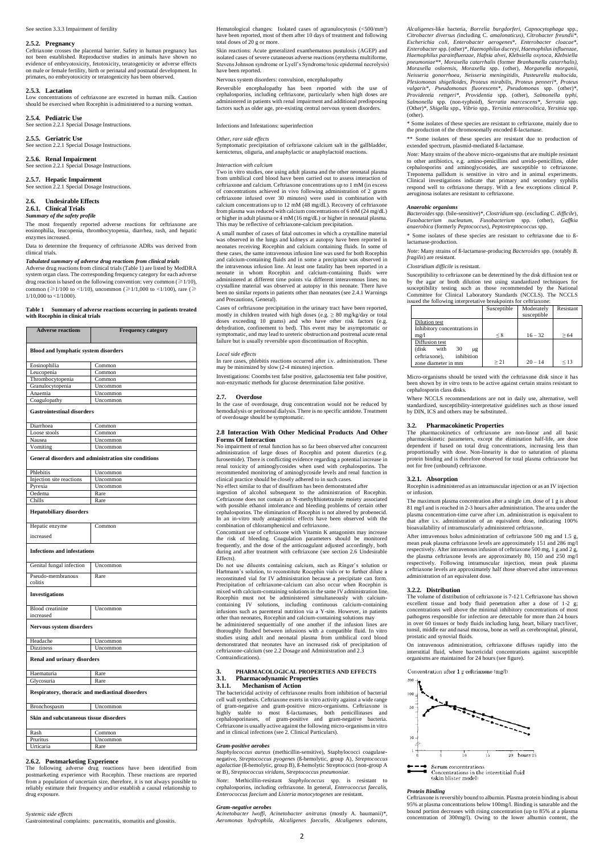#### See section 3.3.3 Impairment of fertility

### **2.5.2. Pregnancy**

Ceftriaxone crosses the placental barrier. Safety in human pregnancy has not been established. Reproductive studies in animals have shown no evidence of embryotoxicity, fetotoxicity, teratogenicity or adverse effects on male or female fertility, birth or perinatal and postnatal development. In primates, no embryotoxicity or teratogenicity has been observed.

### **2.5.3. Lactation**

Low concentrations of ceftriaxone are excreted in human milk. Caution should be exercised when Rocephin is administered to a nursing woman.

#### **2.5.4. Pediatric Use**

See section 2.2.1 Special Dosage Instructions.

#### **2.5.5. Geriatric Use**

See section 2.2.1 Special Dosage Instructions.

#### **2.5.6. Renal Impairment**

See section 2.2.1 Special Dosage Instructions.

# **2.5.7. Hepatic Impairment**

See section 2.2.1 Special Dosage Instructions.

# **2.6. Undesirable Effects**

**2.6.1. Clinical Trials**

#### *Summary of the safety profile*

The most frequently reported adverse reactions for ceftriaxone are eosinophilia, leucopenia, thrombocytopenia, diarrhea, rash, and hepatic enzymes increased.

Data to determine the frequency of ceftriaxone ADRs was derived from clinical trials.

#### *Tabulated summary of adverse drug reactions from clinical trials*

Adverse drug reactions from clinical trials (Table 1) are listed by MedDRA system organ class. The corresponding frequency category for each adverse drug reaction is based on the following convention: very common ( $\geq 1/10$ ), common ( $\geq 1/100$  to <1/10), uncommon ( $\geq 1/1,000$  to <1/100), rare ( $\geq$ 1/10,000 to <1/1000).

### **Table 1 Summary of adverse reactions occurring in patients treated with Rocephin in clinical trials**

| <b>Adverse reactions</b>                    | <b>Frequency category</b>                            |  |  |  |
|---------------------------------------------|------------------------------------------------------|--|--|--|
| <b>Blood and lymphatic system disorders</b> |                                                      |  |  |  |
| Eosinophilia                                | Common                                               |  |  |  |
| Leucopenia                                  | Common                                               |  |  |  |
| Thrombocytopenia                            | Common                                               |  |  |  |
| Granulocytopenia                            | Uncommon                                             |  |  |  |
| Anaemia                                     | Uncommon                                             |  |  |  |
| Coagulopathy                                | Uncommon                                             |  |  |  |
| <b>Gastrointestinal disorders</b>           |                                                      |  |  |  |
| Diarrhoea                                   | Common                                               |  |  |  |
| Loose stools                                | Common                                               |  |  |  |
| Nausea                                      | Uncommon                                             |  |  |  |
| Vomiting                                    | Uncommon                                             |  |  |  |
|                                             | General disorders and administration site conditions |  |  |  |
| Phlebitis                                   | Uncommon                                             |  |  |  |
| Injection site reactions                    | Uncommon                                             |  |  |  |
| Pyrexia                                     | Uncommon                                             |  |  |  |
| Oedema                                      | Rare                                                 |  |  |  |
| Chills                                      | Rare                                                 |  |  |  |
| <b>Hepatobiliary disorders</b>              |                                                      |  |  |  |
| Hepatic enzyme                              | Common                                               |  |  |  |
| increased                                   |                                                      |  |  |  |
| <b>Infections and infestations</b>          |                                                      |  |  |  |
| Genital fungal infection                    | Uncommon                                             |  |  |  |
| Pseudo-membranous<br>colitis                | Rare                                                 |  |  |  |
| <b>Investigations</b>                       |                                                      |  |  |  |
| <b>Blood</b> creatinine<br>increased        | Uncommon                                             |  |  |  |
| Nervous system disorders                    |                                                      |  |  |  |
| Headache                                    | Uncommon                                             |  |  |  |

| <b>Dizziness</b>                                | Uncommon |  |  |  |
|-------------------------------------------------|----------|--|--|--|
| <b>Renal and urinary disorders</b>              |          |  |  |  |
| Haematuria                                      | Rare     |  |  |  |
| Glycosuria                                      | Rare     |  |  |  |
| Respiratory, thoracic and mediastinal disorders |          |  |  |  |
| Bronchospasm                                    | Uncommon |  |  |  |
| Skin and subcutaneous tissue disorders          |          |  |  |  |
| Rash                                            | Common   |  |  |  |
| Pruritus                                        | Uncommon |  |  |  |
| Urticaria                                       | Rare     |  |  |  |

# **2.6.2. Postmarketing Experience**

The following adverse drug reactions have been identified from postmarketing experience with Rocephin. These reactions are reported from a population of uncertain size, therefore, it is not always possible to reliably estimate their frequency and/or establish a causal relationship to drug exposure.

#### *Systemic side effects*

Gastrointestinal complaints: pancreatitis, stomatitis and glossitis.

Hematological changes: Isolated cases of agranulocytosis (<500/mm<sup>3</sup> ) have been reported, most of them after 10 days of treatment and following total doses of 20 g or more.

Skin reactions: Acute generalized exanthematous pustulosis (AGEP) and isolated cases of severe cutaneous adverse reactions (erythema multiforme, Stevens Johnson syndrome or Lyell's Syndrome/toxic epidermal necrolysis) have been reported.

### Nervous system disorders: convulsion, encephalopathy

Reversible encephalopathy has been reported with the use of cephalosporins, including ceftriaxone, particularly when high doses are administered in patients with renal impairment and additional predisposing factors such as older age, pre-existing central nervous system disorders.

Infections and Infestations: superinfection

#### *Other, rare side effects*

Symptomatic precipitation of ceftriaxone calcium salt in the gallbladder, kernicterus, oliguria, and anaphylactic or anaphylactoid reactions.

### *Interaction with calcium*

Two in vitro studies, one using adult plasma and the other neonatal plasma from umbilical cord blood have been carried out to assess interaction of ceftriaxone and calcium. Ceftriaxone concentrations up to 1 mM (in excess of concentrations achieved in vivo following administration of 2 grams ceftriaxone infused over 30 minutes) were used in combination with calcium concentrations up to 12 mM (48 mg/dL). Recovery of ceftriaxone from plasma was reduced with calcium concentrations of 6 mM (24 mg/dL) or higher in adult plasma or 4 mM (16 mg/dL) or higher in neonatal plasma. This may be reflective of ceftriaxone-calcium precipitation.

A small number of cases of fatal outcomes in which a crystalline material was observed in the lungs and kidneys at autopsy have been reported in neonates receiving Rocephin and calcium containing fluids. In some of these cases, the same intravenous infusion line was used for both Rocephin and calcium-containing fluids and in some a precipitate was observed in the intravenous infusion line. At least one fatality has been reported in a neonate in whom Rocephin and calcium-containing fluids were administered at different time points via different interavenous lines; no crystalline material was observed at autopsy in this neonate. There have been no similar reports in patients other than neonates (see 2.4.1 Warnings and Precautions, General).

Cases of ceftriaxone precipitation in the urinary tract have been reported, mostly in children treated with high doses (e.g.  $\geq 80$  mg/kg/day or total doses exceeding 10 grams) and who have other risk factors (e.g. dehydration, confinement to bed). This event may be asymptomatic or symptomatic, and may lead to ureteric obstruction and postrenal acute renal failure but is usually reversible upon discontinuation of Rocephin.

#### *Local side effects*

In rare cases, phlebitis reactions occurred after i.v. administration. These may be minimized by slow (2-4 minutes) injection.

Investigations: Coombs test false positive, galactosemia test false positive, non-enzymatic methods for glucose determination false positive.

#### **2.7. Overdose**

In the case of overdosage, drug concentration would not be reduced by hemodialysis or peritoneal dialysis. There is no specific antidote. Treatment of overdosage should be symptomatic.

# **2.8 Interaction With Other Medicinal Products And Other Forms Of Interaction**

No impairment of renal function has so far been observed after concurrent administration of large doses of Rocephin and potent diuretics (e.g. furosemide). There is conflicting evidence regarding a potential increase in renal toxicity of aminoglycosides when used with cephalosporins. The recommended monitoring of aminoglycoside levels and renal function in clinical practice should be closely adhered to in such cases.

No effect similar to that of disulfiram has been demonstrated after ingestion of alcohol subsequent to the administration of Rocephin. Ceftriaxone does not contain an N-methylthiotetrazole moiety associated with possible ethanol intolerance and bleeding problems of certain other cephalosporins. The elimination of Rocephin is not altered by probenecid. In an in-vitro study antagonistic effects have been observed with the combination of chloramphenicol and ceftriaxone.

Concomitant use of ceftriaxone with Vitamin K antagonists may increase the risk of bleeding. Coagulation parameters should be monitored frequently, and the dose of the anticoagulant adjusted accordingly, both during and after treatment with ceftriaxone (see section 2.6 Undesirable Effects).

Do not use diluents containing calcium, such as Ringer's solution or Hartmann's solution, to reconstitute Rocephin vials or to further dilute a reconstituted vial for IV administration because a precipitate can form. Precipitation of ceftriaxone-calcium can also occur when Rocephin is mixed with calcium-containing solutions in the same IV administration line. Rocephin must not be administered simultaneously with calciumcontaining IV solutions, including continuous calcium-containing infusions such as parenteral nutrition via a Y-site. However, in patients other than neonates, Rocephin and calcium-containing solutions may

be administered sequentially of one another if the infusion lines are thoroughly flushed between infusions with a compatible fluid. In vitro studies using adult and neonatal plasma from umbilical cord blood demonstrated that neonates have an increased risk of precipitation of ceftriaxone-calcium (see 2.2 Dosage and Administration and 2.3 Contraindications).

# **3. PHARMACOLOGICAL PROPERTIES AND EFFECTS**

# **3.1. Pharmacodynamic Properties**

# **3.1.1. Mechanism of Action**

The bactericidal activity of ceftriaxone results from inhibition of bacterial cell wall synthesis. Ceftriaxone exerts in vitro activity against a wide range of gram-negative and gram-positive micro-organisms. Ceftriaxone is highly stable to most ß-lactamases, both penicillinases and cephalosporinases, of gram-positive and gram-negative bacteria. Ceftriaxone is usually active against the following micro-organisms in vitro and in clinical infections (see 2. Clinical Particulars).

#### *Gram-positive aerobes*

*Staphylococcus aureus* (methicillin-sensitive), Staphylococci coagulasenegative, *Streptococcus pyogenes* (ß-hemolytic, group A), *Streptococcus agalactiae* (ß-hemolytic, group B), ß-hemolytic Streptococci (non-group A or B), *Streptococcus viridans, Streptococcus pneumoniae.*

*Note*: Methicillin-resistant *Staphylococcus* spp. is resistant to cephalosporins, including ceftriaxone. In general, *Enterococcus faecalis, Enterococcus faecium* and *Listeria monocytogenes* are resistant.

#### *Gram-negative aerobes*

*Acinetobacter lwoffi, Acinetobacter anitratus* (mostly A. baumanii)*\*, Aeromonas hydrophila, Alcaligenes faecalis, Alcaligenes odorans,*  *Alcaligenes*-like bacteria*, Borrelia burgdorferi, Capnocytophaga* spp.*, Citrobacter diversus (*including C. *amalonaticus), Citrobacter freundii\*, Escherichia coli, Enterobacter aerogenes\*, Enterobacter cloacae\*, Enterobacter* spp. (other)\**, Haemophilus ducreyi, Haemophilus influenzae, Haemophilus parainfluenzae, Hafnia alvei, Klebsiella oxytoca, Klebsiella pneumoniae\*\*, Moraxella catarrhalis* (former *Branhamella catarrhalis), Moraxella osloensis, Moraxella* spp. (other), *Morganella morganii, Neisseria gonorrhoea, Neisseria meningitidis, Pasteurella multocida, Plesiomonas shigelloides, Proteus mirabilis, Proteus penneri\*, Proteus vulgaris\*, Pseudomonas fluorescens\*, Pseudomonas* spp. (other)\*, *Providentia rettgeri\*, Providentia* spp. (other), *Salmonella typhi, Salmonella* spp. (non-typhoid), *Serratia marcescens\*, Serratia* spp. (Other)\*, *Shigella* spp., *Vibrio* spp.*, Yersinia enterocolitica, Yersinia* spp. (other).

\* Some isolates of these species are resistant to ceftriaxone, mainly due to the production of the chromosomally encoded ß-lactamase.

\*\* Some isolates of these species are resistant due to production of extended spectrum, plasmid-mediated ß-lactamase.

*Note:* Many strains of the above micro-organisms that are multiple resistant to other antibiotics, e.g. amino-penicillins and ureido-penicillins, older cephalosporins and aminoglycosides, are susceptible to ceftriaxone. Treponema pallidum is sensitive in vitro and in animal experiments. Clinical investigations indicate that primary and secondary syphilis respond well to ceftriaxone therapy. With a few exceptions clinical P. aeruginosa isolates are resistant to ceftriaxone.

#### *Anaerobic organisms*

*Bacteroides* spp. (bile-sensitive)\*, *Clostridium* spp. (excluding C. *difficile*), *Fusobacterium nucleatum, Fusobacterium* spp. (other), *Gaffkia anaerobica* (formerly *Peptococcus*), *Peptostreptococcus* spp.

\* Some isolates of these species are resistant to ceftriaxone due to ßlactamase-production.

*Note*: Many strains of ß-lactamase-producing *Bacteroides* spp. (notably *B. fragilis*) are resistant.

### *Clostridium difficile* is resistant.

Susceptibility to ceftriaxone can be determined by the disk diffusion test or by the agar or broth dilution test using standardized techniques for susceptibility testing such as those recommended by the National Committee for Clinical Laboratory Standards (NCCLS). The NCCLS issued the following interpretative breakpoints for ceftriaxone:

|                              | Susceptible | Moderately  | Resistant |
|------------------------------|-------------|-------------|-----------|
|                              |             | susceptible |           |
| Dilution test                |             |             |           |
| Inhibitory concentrations in |             |             |           |
| mg/l                         | < 8         | $16 - 32$   | >64       |
| Diffusion test               |             |             |           |
| (disk<br>with<br>30<br>μg    |             |             |           |
| ceftriaxone),<br>inhibition  |             |             |           |
| zone diameter in mm          | > 21        | $20 - 14$   | < 13      |

Micro-organisms should be tested with the ceftriaxone disk since it has been shown by *in vitro* tests to be active against certain strains resistant to cephalosporin class disks.

Where NCCLS recommendations are not in daily use, alternative, well standardized, susceptibility-interpretative guidelines such as those issued by DIN, ICS and others may be substituted.

#### **3.2. Pharmacokinetic Properties**

The pharmacokinetics of ceftriaxone are non-linear and all basic pharmacokinetic parameters, except the elimination half-life, are dose dependent if based on total drug concentrations, increasing less than proportionally with dose. Non-linearity is due to saturation of plasma protein binding and is therefore observed for total plasma ceftriaxone but not for free (unbound) ceftriaxone.

# **3.2.1. Absorption**

Rocephin is administered as an intramuscular injection or as an IV injection or infusion.

The maximum plasma concentration after a single i.m. dose of 1 g is about 81 mg/l and is reached in 2-3 hours after administration. The area under the plasma concentration-time curve after i.m. administration is equivalent to that after i.v. administration of an equivalent dose, indicating 100% bioavailability of intramuscularly administered ceftriaxone.

After intravenous bolus administration of ceftriaxone 500 mg and 1.5 g, mean peak plasma ceftriaxone levels are approximately 151 and 286 mg/l respectively. After intravenous infusion of ceftriaxone 500 mg, 1 g and 2 g, the plasma ceftriaxone levels are approximately 80, 150 and 250 mg/l respectively. Following intramuscular injection, mean peak plasma ceftriaxone levels are approximately half those observed after intravenous administration of an equivalent dose.

### **3.2.2. Distribution**

The volume of distribution of ceftriaxone is 7-12 l. Ceftriaxone has shown excellent tissue and body fluid penetration after a dose of 1-2 g; concentrations well above the minimal inhibitory concentrations of most pathogens responsible for infection are detectable for more than 24 hours in over 60 tissues or body fluids including lung, heart, biliary tract/liver, tonsil, middle ear and nasal mucosa, bone as well as cerebrospinal, pleural, prostatic and synovial fluids.

On intravenous administration, ceftriaxone diffuses rapidly into the

interstitial fluid, where bactericidal concentrations against susceptible organisms are maintained for 24 hours (see figure).

Concentration after 1 g ceftriaxone (mg/l)



## *Protein Binding*

Ceftriaxone is reversibly bound to albumin. Plasma protein binding is about 95% at plasma concentrations below 100mg/l. Binding is saturable and the bound portion decreases with rising concentration (up to 85% at a plasma concentration of 300mg/l). Owing to the lower albumin content, the